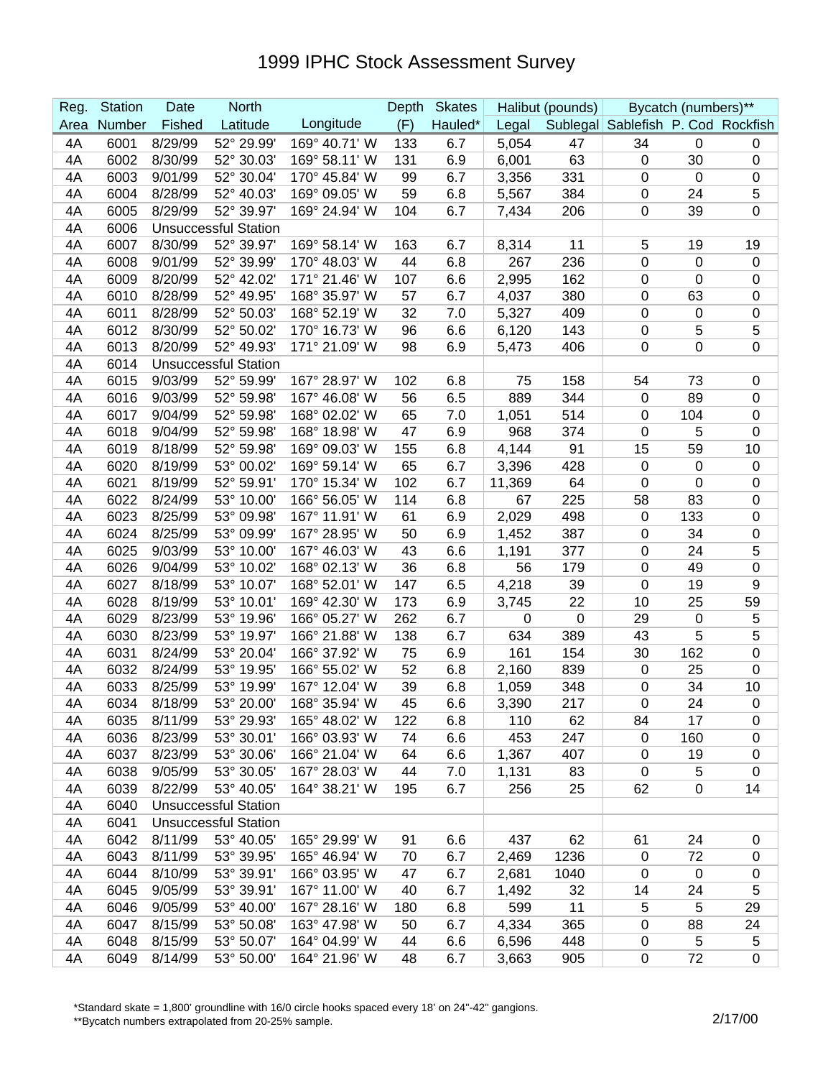## 1999 IPHC Stock Assessment Survey

| Reg. | <b>Station</b> | Date    | <b>North</b>                |               | Depth | <b>Skates</b> |             | Halibut (pounds) |                                    | Bycatch (numbers)** |                  |
|------|----------------|---------|-----------------------------|---------------|-------|---------------|-------------|------------------|------------------------------------|---------------------|------------------|
| Area | Number         | Fished  | Latitude                    | Longitude     | (F)   | Hauled*       | Legal       |                  | Sublegal Sablefish P. Cod Rockfish |                     |                  |
| 4A   | 6001           | 8/29/99 | 52° 29.99'                  | 169° 40.71' W | 133   | 6.7           | 5,054       | 47               | 34                                 | $\mathbf 0$         | 0                |
| 4A   | 6002           | 8/30/99 | 52° 30.03'                  | 169° 58.11' W | 131   | 6.9           | 6,001       | 63               | $\mathbf 0$                        | 30                  | $\boldsymbol{0}$ |
| 4A   | 6003           | 9/01/99 | 52° 30.04'                  | 170° 45.84' W | 99    | 6.7           | 3,356       | 331              | $\mathbf 0$                        | $\mathbf 0$         | $\pmb{0}$        |
| 4A   | 6004           | 8/28/99 | 52° 40.03'                  | 169° 09.05' W | 59    | 6.8           | 5,567       | 384              | $\mathbf 0$                        | 24                  | 5                |
| 4A   | 6005           | 8/29/99 | 52° 39.97'                  | 169° 24.94' W | 104   | 6.7           | 7,434       | 206              | $\mathbf 0$                        | 39                  | $\mathbf 0$      |
| 4A   | 6006           |         | <b>Unsuccessful Station</b> |               |       |               |             |                  |                                    |                     |                  |
| 4A   | 6007           | 8/30/99 | 52° 39.97'                  | 169° 58.14' W | 163   | 6.7           | 8,314       | 11               | 5                                  | 19                  | 19               |
| 4A   | 6008           | 9/01/99 | 52° 39.99'                  | 170° 48.03' W | 44    | 6.8           | 267         | 236              | 0                                  | $\mathbf 0$         | $\pmb{0}$        |
| 4A   | 6009           | 8/20/99 | 52° 42.02'                  | 171° 21.46' W | 107   | 6.6           | 2,995       | 162              | 0                                  | 0                   | $\mathbf 0$      |
| 4A   | 6010           | 8/28/99 | 52° 49.95'                  | 168° 35.97' W | 57    | 6.7           | 4,037       | 380              | $\mathbf 0$                        | 63                  | $\boldsymbol{0}$ |
| 4A   | 6011           | 8/28/99 | 52° 50.03'                  | 168° 52.19' W | 32    | 7.0           | 5,327       | 409              | $\mathbf 0$                        | 0                   | $\boldsymbol{0}$ |
| 4A   | 6012           | 8/30/99 | 52° 50.02'                  | 170° 16.73' W | 96    | 6.6           | 6,120       | 143              | $\mathbf 0$                        | 5                   | 5                |
| 4A   | 6013           | 8/20/99 | 52° 49.93'                  | 171° 21.09' W | 98    | 6.9           | 5,473       | 406              | $\mathbf 0$                        | 0                   | $\boldsymbol{0}$ |
| 4A   | 6014           |         | <b>Unsuccessful Station</b> |               |       |               |             |                  |                                    |                     |                  |
| 4A   | 6015           | 9/03/99 | 52° 59.99'                  | 167° 28.97' W | 102   | 6.8           | 75          | 158              | 54                                 | 73                  | $\boldsymbol{0}$ |
| 4A   | 6016           | 9/03/99 | 52° 59.98'                  | 167° 46.08' W | 56    | 6.5           | 889         | 344              | $\mathbf 0$                        | 89                  | $\mathbf 0$      |
| 4A   | 6017           | 9/04/99 | 52° 59.98'                  | 168° 02.02' W | 65    | 7.0           | 1,051       | 514              | $\mathbf 0$                        | 104                 | $\boldsymbol{0}$ |
| 4A   | 6018           | 9/04/99 | 52° 59.98'                  | 168° 18.98' W | 47    | 6.9           | 968         | 374              | 0                                  | 5                   | $\boldsymbol{0}$ |
| 4A   | 6019           | 8/18/99 | 52° 59.98'                  | 169° 09.03' W | 155   | 6.8           | 4,144       | 91               | 15                                 | 59                  | 10               |
| 4A   | 6020           | 8/19/99 | 53° 00.02'                  | 169° 59.14' W | 65    | 6.7           | 3,396       | 428              | $\mathbf 0$                        | $\mathbf 0$         | $\pmb{0}$        |
| 4A   | 6021           | 8/19/99 | 52° 59.91'                  | 170° 15.34' W | 102   | 6.7           | 11,369      | 64               | 0                                  | $\mathbf 0$         | $\mathbf 0$      |
| 4A   | 6022           | 8/24/99 | 53° 10.00'                  | 166° 56.05' W | 114   | 6.8           | 67          | 225              | 58                                 | 83                  | $\mathbf 0$      |
| 4A   | 6023           | 8/25/99 | 53° 09.98'                  | 167° 11.91' W | 61    | 6.9           | 2,029       | 498              | 0                                  | 133                 | $\boldsymbol{0}$ |
| 4A   | 6024           | 8/25/99 | 53° 09.99'                  | 167° 28.95' W | 50    | 6.9           | 1,452       | 387              | $\mathbf 0$                        | 34                  | $\boldsymbol{0}$ |
| 4A   | 6025           | 9/03/99 | 53° 10.00                   | 167° 46.03' W | 43    | 6.6           | 1,191       | 377              | $\mathbf 0$                        | 24                  | 5                |
| 4A   | 6026           | 9/04/99 | 53° 10.02'                  | 168° 02.13' W | 36    | 6.8           | 56          | 179              | $\mathbf 0$                        | 49                  | $\boldsymbol{0}$ |
| 4A   | 6027           | 8/18/99 | 53° 10.07'                  | 168° 52.01' W | 147   | 6.5           | 4,218       | 39               | $\mathbf 0$                        | 19                  | 9                |
| 4A   | 6028           | 8/19/99 | 53° 10.01'                  | 169° 42.30' W | 173   | 6.9           | 3,745       | 22               | 10                                 | 25                  | 59               |
| 4A   | 6029           | 8/23/99 | 53° 19.96'                  | 166° 05.27' W | 262   | 6.7           | $\mathbf 0$ | $\mathbf 0$      | 29                                 | $\boldsymbol{0}$    | 5                |
| 4A   | 6030           | 8/23/99 | 53° 19.97'                  | 166° 21.88' W | 138   | 6.7           | 634         | 389              | 43                                 | 5                   | 5                |
| 4A   | 6031           | 8/24/99 | 53° 20.04'                  | 166° 37.92' W | 75    | 6.9           | 161         | 154              | 30                                 | 162                 | $\pmb{0}$        |
| 4A   | 6032           | 8/24/99 | 53° 19.95'                  | 166° 55.02' W | 52    | 6.8           | 2,160       | 839              | $\mathbf 0$                        | 25                  | $\pmb{0}$        |
| 4A   | 6033           | 8/25/99 | 53° 19.99'                  | 167° 12.04' W | 39    | 6.8           | 1,059       | 348              | 0                                  | 34                  | 10               |
| 4A   | 6034           | 8/18/99 | 53° 20.00'                  | 168° 35.94' W | 45    | 6.6           | 3,390       | 217              | 0                                  | 24                  | $\Omega$         |
| 4Α   | 6035           | 8/11/99 | 53° 29.93'                  | 165° 48.02' W | 122   | 6.8           | 110         | 62               | 84                                 | 17                  | 0                |
| 4A   | 6036           | 8/23/99 | 53° 30.01'                  | 166° 03.93' W | 74    | 6.6           | 453         | 247              | $\mathbf 0$                        | 160                 | 0                |
| 4A   | 6037           | 8/23/99 | 53° 30.06'                  | 166° 21.04' W | 64    | 6.6           | 1,367       | 407              | 0                                  | 19                  | 0                |
| 4A   | 6038           | 9/05/99 | 53° 30.05'                  | 167° 28.03' W | 44    | 7.0           | 1,131       | 83               | $\mathbf 0$                        | 5                   | $\boldsymbol{0}$ |
| 4A   | 6039           | 8/22/99 | 53° 40.05'                  | 164° 38.21' W | 195   | 6.7           | 256         | 25               | 62                                 | 0                   | 14               |
| 4A   | 6040           |         | <b>Unsuccessful Station</b> |               |       |               |             |                  |                                    |                     |                  |
| 4A   | 6041           |         | <b>Unsuccessful Station</b> |               |       |               |             |                  |                                    |                     |                  |
| 4A   | 6042           | 8/11/99 | 53° 40.05'                  | 165° 29.99' W | 91    | 6.6           | 437         | 62               | 61                                 | 24                  | 0                |
| 4A   | 6043           | 8/11/99 | 53° 39.95'                  | 165° 46.94' W | 70    | 6.7           | 2,469       | 1236             | 0                                  | 72                  | 0                |
| 4A   | 6044           | 8/10/99 | 53° 39.91'                  | 166° 03.95' W | 47    | 6.7           | 2,681       | 1040             | 0                                  | 0                   | 0                |
| 4A   | 6045           | 9/05/99 | 53° 39.91'                  | 167° 11.00' W | 40    | 6.7           | 1,492       | 32               | 14                                 | 24                  | 5                |
| 4A   | 6046           | 9/05/99 | 53° 40.00'                  | 167° 28.16' W | 180   | 6.8           | 599         | 11               | 5                                  | 5                   | 29               |
| 4A   | 6047           | 8/15/99 | 53° 50.08'                  | 163° 47.98' W | 50    | 6.7           | 4,334       | 365              | $\mathbf 0$                        | 88                  | 24               |
| 4A   | 6048           | 8/15/99 | 53° 50.07'                  | 164° 04.99' W | 44    | 6.6           | 6,596       | 448              | $\mathbf 0$                        | 5                   | 5                |
| 4A   | 6049           | 8/14/99 | 53° 50.00'                  | 164° 21.96' W | 48    | 6.7           | 3,663       | 905              | $\mathbf 0$                        | 72                  | $\pmb{0}$        |

\*Standard skate = 1,800' groundline with 16/0 circle hooks spaced every 18' on 24"-42" gangions.

\*\*Bycatch numbers extrapolated from 20-25% sample.<br>\*\*Bycatch numbers extrapolated from 20-25% sample.